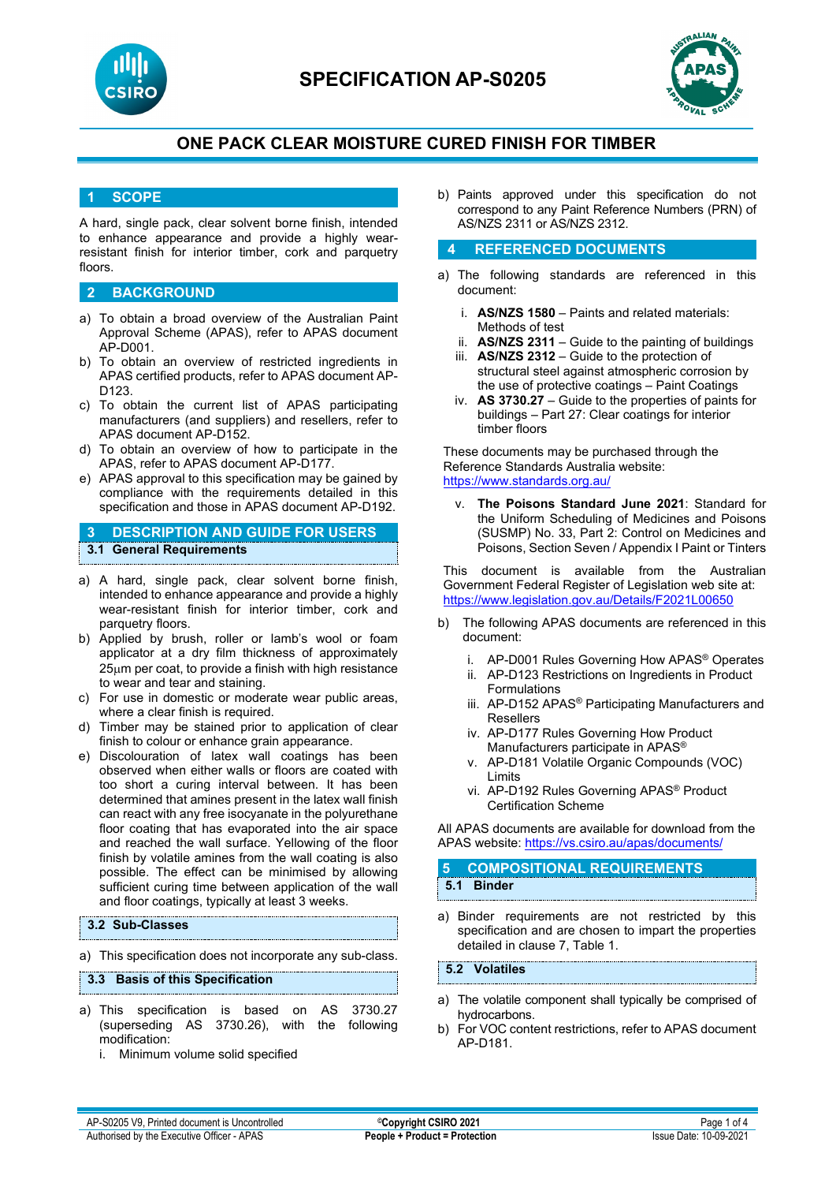



## **1 SCOPE**

A hard, single pack, clear solvent borne finish, intended to enhance appearance and provide a highly wearresistant finish for interior timber, cork and parquetry floors.

## **2 BACKGROUND**

- a) To obtain a broad overview of the Australian Paint Approval Scheme (APAS), refer to APAS document AP-D001.
- b) To obtain an overview of restricted ingredients in APAS certified products, refer to APAS document AP-D123.
- c) To obtain the current list of APAS participating manufacturers (and suppliers) and resellers, refer to APAS document AP-D152.
- d) To obtain an overview of how to participate in the APAS, refer to APAS document AP-D177.
- e) APAS approval to this specification may be gained by compliance with the requirements detailed in this specification and those in APAS document AP-D192.

## **3 DESCRIPTION AND GUIDE FOR USERS 3.1 General Requirements**

- a) A hard, single pack, clear solvent borne finish, intended to enhance appearance and provide a highly wear-resistant finish for interior timber, cork and parquetry floors.
- b) Applied by brush, roller or lamb's wool or foam applicator at a dry film thickness of approximately 25µm per coat, to provide a finish with high resistance to wear and tear and staining.
- c) For use in domestic or moderate wear public areas, where a clear finish is required.
- d) Timber may be stained prior to application of clear finish to colour or enhance grain appearance.
- e) Discolouration of latex wall coatings has been observed when either walls or floors are coated with too short a curing interval between. It has been determined that amines present in the latex wall finish can react with any free isocyanate in the polyurethane floor coating that has evaporated into the air space and reached the wall surface. Yellowing of the floor finish by volatile amines from the wall coating is also possible. The effect can be minimised by allowing sufficient curing time between application of the wall and floor coatings, typically at least 3 weeks.

### **3.2 Sub-Classes**

a) This specification does not incorporate any sub-class.

#### **3.3 Basis of this Specification**

- a) This specification is based on AS 3730.27  $(superseding AS 3730.26)$ , with the modification:
	- i. Minimum volume solid specified

b) Paints approved under this specification do not correspond to any Paint Reference Numbers (PRN) of AS/NZS 2311 or AS/NZS 2312.

### **4 REFERENCED DOCUMENTS**

- a) The following standards are referenced in this document:
	- i. **AS/NZS 1580** Paints and related materials: Methods of test
	- ii. **AS/NZS 2311**  Guide to the painting of buildings
	- iii. **AS/NZS 2312**  Guide to the protection of structural steel against atmospheric corrosion by the use of protective coatings – Paint Coatings
	- iv. **AS 3730.27**  Guide to the properties of paints for buildings – Part 27: Clear coatings for interior timber floors

These documents may be purchased through the Reference Standards Australia website: <https://www.standards.org.au/>

The Poisons Standard June 2021: Standard for the Uniform Scheduling of Medicines and Poisons (SUSMP) No. 33, Part 2: Control on Medicines and Poisons, Section Seven / Appendix I Paint or Tinters

This document is available from the Australian Government Federal Register of Legislation web site at: <https://www.legislation.gov.au/Details/F2021L00650>

- b) The following APAS documents are referenced in this document:
	- i. AP-D001 Rules Governing How APAS® Operates
	- ii. AP-D123 Restrictions on Ingredients in Product Formulations
	- iii. AP-D152 APAS® Participating Manufacturers and Resellers
	- iv. AP-D177 Rules Governing How Product Manufacturers participate in APAS®
	- v. AP-D181 Volatile Organic Compounds (VOC) Limits
	- vi. AP-D192 Rules Governing APAS® Product Certification Scheme

All APAS documents are available for download from the APAS website: <https://vs.csiro.au/apas/documents/>

## **5 COMPOSITIONAL REQUIREMENTS 5.1 Binder**

a) Binder requirements are not restricted by this specification and are chosen to impart the properties detailed in clause 7, Table 1.

**5.2 Volatiles**

- a) The volatile component shall typically be comprised of hydrocarbons.
- b) For VOC content restrictions, refer to APAS document AP-D181.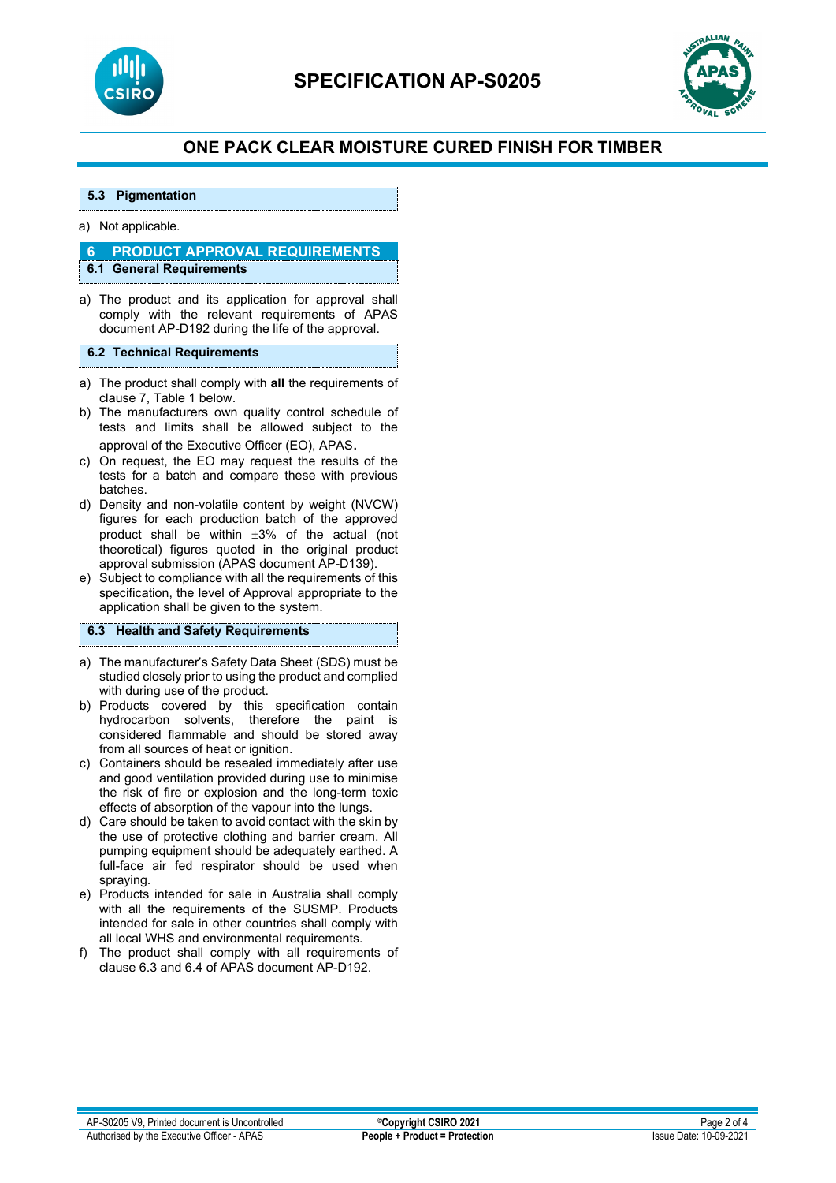



#### a) Not applicable.

**5.3 Pigmentation**

# **6 PRODUCT APPROVAL REQUIREMENTS**

**6.1 General Requirements**

a) The product and its application for approval shall comply with the relevant requirements of APAS document AP-D192 during the life of the approval.

#### **6.2 Technical Requirements**

- a) The product shall comply with **all** the requirements of clause 7, Table 1 below.
- b) The manufacturers own quality control schedule of tests and limits shall be allowed subject to the approval of the Executive Officer (EO), APAS.
- c) On request, the EO may request the results of the tests for a batch and compare these with previous batches.
- d) Density and non-volatile content by weight (NVCW) figures for each production batch of the approved product shall be within ±3% of the actual (not theoretical) figures quoted in the original product approval submission (APAS document AP-D139).
- e) Subject to compliance with all the requirements of this specification, the level of Approval appropriate to the application shall be given to the system.

#### **6.3 Health and Safety Requirements**

- a) The manufacturer's Safety Data Sheet (SDS) must be studied closely prior to using the product and complied with during use of the product.
- b) Products covered by this specification contain hydrocarbon solvents, therefore the paint is considered flammable and should be stored away from all sources of heat or ignition.
- c) Containers should be resealed immediately after use and good ventilation provided during use to minimise the risk of fire or explosion and the long-term toxic effects of absorption of the vapour into the lungs.
- d) Care should be taken to avoid contact with the skin by the use of protective clothing and barrier cream. All pumping equipment should be adequately earthed. A full-face air fed respirator should be used when spraying.
- e) Products intended for sale in Australia shall comply with all the requirements of the SUSMP. Products intended for sale in other countries shall comply with all local WHS and environmental requirements.
- f) The product shall comply with all requirements of clause 6.3 and 6.4 of APAS document AP-D192.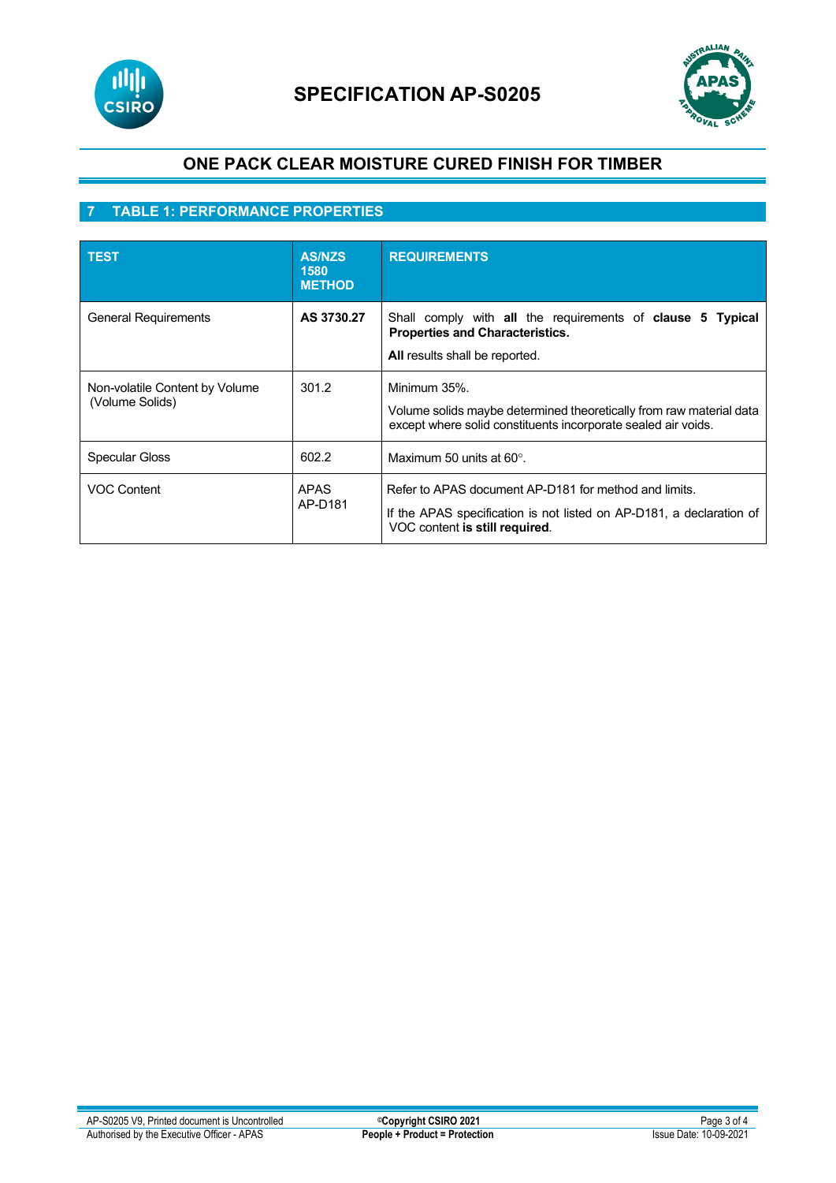



# **7 TABLE 1: PERFORMANCE PROPERTIES**

| <b>TEST</b>                                       | <b>AS/NZS</b><br>1580<br><b>METHOD</b> | <b>REQUIREMENTS</b>                                                                                                                                             |
|---------------------------------------------------|----------------------------------------|-----------------------------------------------------------------------------------------------------------------------------------------------------------------|
| <b>General Requirements</b>                       | AS 3730.27                             | Shall comply with all the requirements of clause 5 Typical<br><b>Properties and Characteristics.</b><br>All results shall be reported.                          |
| Non-volatile Content by Volume<br>(Volume Solids) | 301.2                                  | Minimum 35%.<br>Volume solids maybe determined theoretically from raw material data<br>except where solid constituents incorporate sealed air voids.            |
| <b>Specular Gloss</b>                             | 602.2                                  | Maximum 50 units at $60^\circ$ .                                                                                                                                |
| <b>VOC Content</b>                                | <b>APAS</b><br>AP-D181                 | Refer to APAS document AP-D181 for method and limits.<br>If the APAS specification is not listed on AP-D181, a declaration of<br>VOC content is still required. |